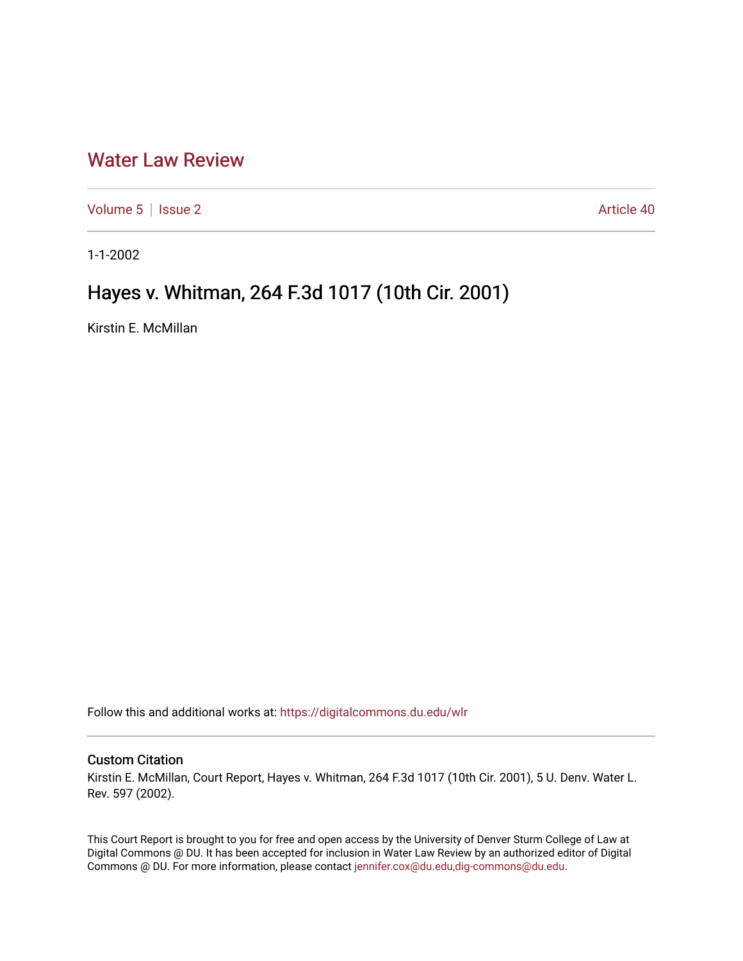## [Water Law Review](https://digitalcommons.du.edu/wlr)

[Volume 5](https://digitalcommons.du.edu/wlr/vol5) | [Issue 2](https://digitalcommons.du.edu/wlr/vol5/iss2) Article 40

1-1-2002

## Hayes v. Whitman, 264 F.3d 1017 (10th Cir. 2001)

Kirstin E. McMillan

Follow this and additional works at: [https://digitalcommons.du.edu/wlr](https://digitalcommons.du.edu/wlr?utm_source=digitalcommons.du.edu%2Fwlr%2Fvol5%2Fiss2%2F40&utm_medium=PDF&utm_campaign=PDFCoverPages) 

## Custom Citation

Kirstin E. McMillan, Court Report, Hayes v. Whitman, 264 F.3d 1017 (10th Cir. 2001), 5 U. Denv. Water L. Rev. 597 (2002).

This Court Report is brought to you for free and open access by the University of Denver Sturm College of Law at Digital Commons @ DU. It has been accepted for inclusion in Water Law Review by an authorized editor of Digital Commons @ DU. For more information, please contact [jennifer.cox@du.edu,dig-commons@du.edu.](mailto:jennifer.cox@du.edu,dig-commons@du.edu)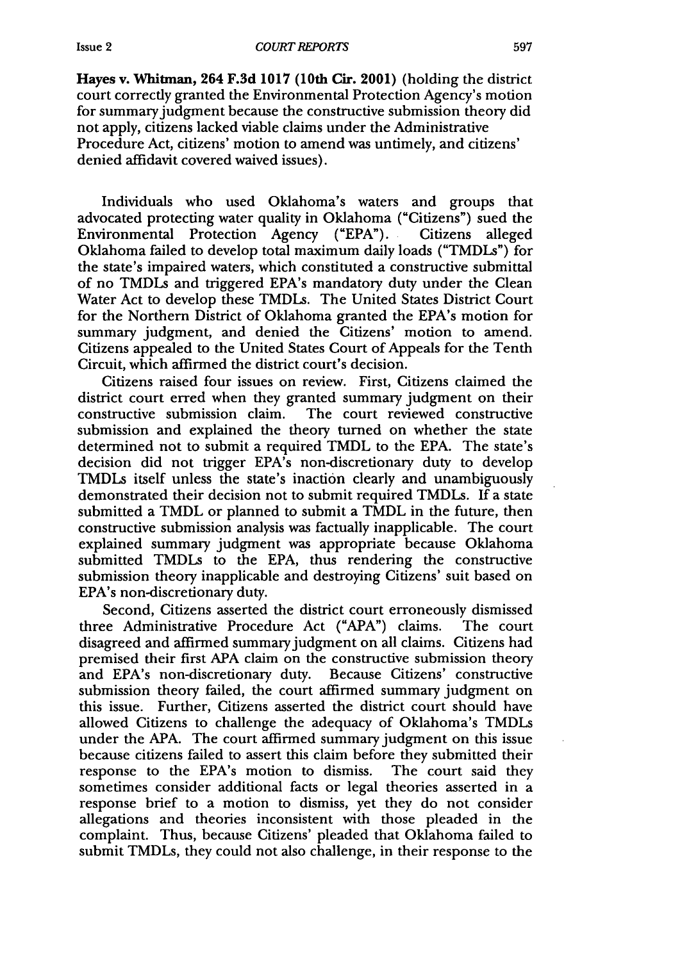Hayes v. Whitman, 264 **F.3d 1017** (10th **Cir.** 2001) (holding the district court correctly granted the Environmental Protection Agency's motion for summary judgment because the constructive submission theory did not apply, citizens lacked viable claims under the Administrative Procedure Act, citizens' motion to amend was untimely, and citizens' denied affidavit covered waived issues).

Individuals who used Oklahoma's waters and groups that advocated protecting water quality in Oklahoma ("Citizens") sued the Environmental Protection Agency ("EPA"). Citizens alleged Oklahoma failed to develop total maximum daily loads ("TMDLs") for the state's impaired waters, which constituted a constructive submittal of no TMDLs and triggered EPA's mandatory duty under the Clean Water Act to develop these TMDLs. The United States District Court for the Northern District of Oklahoma granted the EPA's motion for summary judgment, and denied the Citizens' motion to amend. Citizens appealed to the United States Court of Appeals for the Tenth Circuit, which affirmed the district court's decision.

Citizens raised four issues on review. First, Citizens claimed the district court erred when they granted summary judgment on their constructive submission claim. The court reviewed constructive submission and explained the theory turned on whether the state determined not to submit a required TMDL to the EPA. The state's decision did not trigger EPA's non-discretionary duty to develop TMDLs itself unless the state's inaction clearly and unambiguously demonstrated their decision not to submit required TMDLs. If a state submitted a TMDL or planned to submit a TMDL in the future, then constructive submission analysis was factually inapplicable. The court explained summary judgment was appropriate because Oklahoma submitted TMDLs to the EPA, thus rendering the constructive submission theory inapplicable and destroying Citizens' suit based on EPA's non-discretionary duty.

Second, Citizens asserted the district court erroneously dismissed three Administrative Procedure Act ("APA") claims. The court disagreed and affirmed summary judgment on all claims. Citizens had premised their first APA claim on the constructive submission theory and EPA's non-discretionary duty. Because Citizens' constructive submission theory failed, the court affirmed summary judgment on this issue. Further, Citizens asserted the district court should have allowed Citizens to challenge the adequacy of Oklahoma's TMDLs under the APA. The court affirmed summary judgment on this issue because citizens failed to assert this claim before they submitted their response to the EPA's motion to dismiss. The court said they sometimes consider additional facts or legal theories asserted in a response brief to a motion to dismiss, yet they do not consider allegations and theories inconsistent with those pleaded in the complaint. Thus, because Citizens' pleaded that Oklahoma failed to submit TMDLs, they could not also challenge, in their response to the